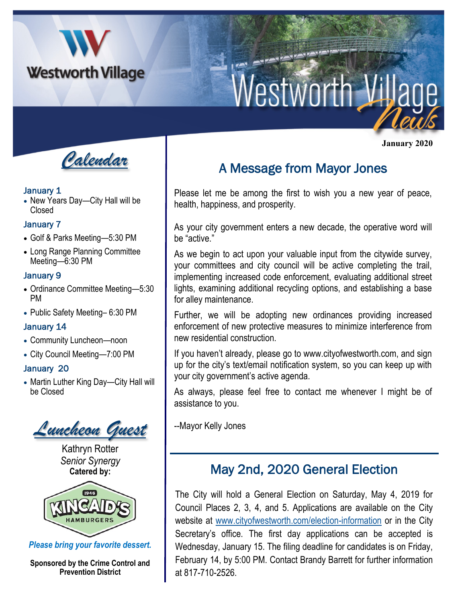

# Westworth Vil

 **January 2020**



#### January 1

• New Years Day—City Hall will be Closed

#### January 7

- Golf & Parks Meeting—5:30 PM
- Long Range Planning Committee Meeting—6:30 PM

## January 9

- Ordinance Committee Meeting—5:30 PM
- Public Safety Meeting– 6:30 PM

## January 14

- Community Luncheon—noon
- City Council Meeting—7:00 PM

## January 20

• Martin Luther King Day—City Hall will be Closed

*Luncheon Guest*

Kathryn Rotter *Senior Synergy* **Catered by:** 



*Please bring your favorite dessert.* 

**Sponsored by the Crime Control and Prevention District**

## A Message from Mayor Jones

Please let me be among the first to wish you a new year of peace, health, happiness, and prosperity.

As your city government enters a new decade, the operative word will be "active."

As we begin to act upon your valuable input from the citywide survey, your committees and city council will be active completing the trail, implementing increased code enforcement, evaluating additional street lights, examining additional recycling options, and establishing a base for alley maintenance.

Further, we will be adopting new ordinances providing increased enforcement of new protective measures to minimize interference from new residential construction.

If you haven't already, please go to www.cityofwestworth.com, and sign up for the city's text/email notification system, so you can keep up with your city government's active agenda.

As always, please feel free to contact me whenever I might be of assistance to you.

--Mayor Kelly Jones

## May 2nd, 2020 General Election

The City will hold a General Election on Saturday, May 4, 2019 for Council Places 2, 3, 4, and 5. Applications are available on the City website at [www.cityofwestworth.com/election-information](http://www.cityofwestworth.com/election-information) or in the City Secretary's office. The first day applications can be accepted is Wednesday, January 15. The filing deadline for candidates is on Friday, February 14, by 5:00 PM. Contact Brandy Barrett for further information at 817-710-2526.